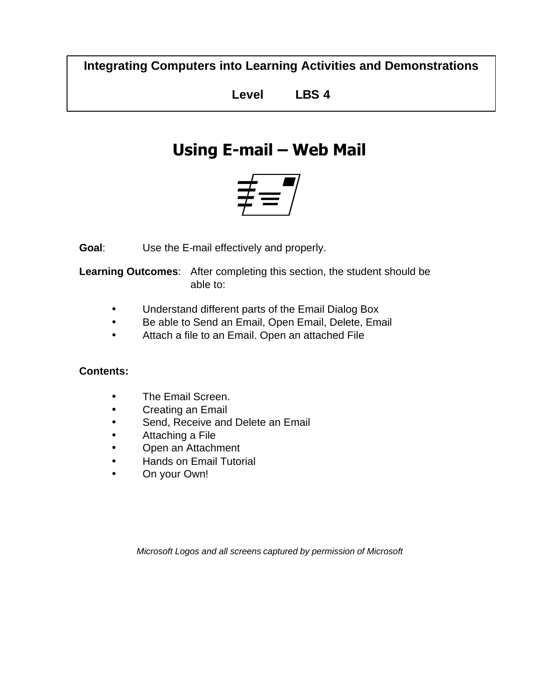**Integrating Computers into Learning Activities and Demonstrations**

**Level LBS 4**

# **Using E-mail – Web Mail**



**Goal**: Use the E-mail effectively and properly.

**Learning Outcomes**: After completing this section, the student should be able to:

- Understand different parts of the Email Dialog Box
- Be able to Send an Email, Open Email, Delete, Email
- Attach a file to an Email. Open an attached File

#### **Contents:**

- The Email Screen.
- Creating an Email
- Send, Receive and Delete an Email
- Attaching a File
- Open an Attachment
- Hands on Email Tutorial
- On your Own!

*Microsoft Logos and all screens captured by permission of Microsoft*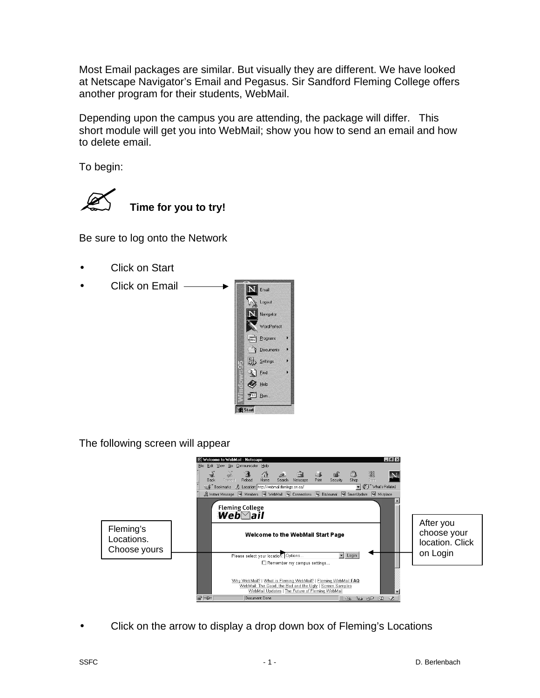Most Email packages are similar. But visually they are different. We have looked at Netscape Navigator's Email and Pegasus. Sir Sandford Fleming College offers another program for their students, WebMail.

Depending upon the campus you are attending, the package will differ. This short module will get you into WebMail; show you how to send an email and how to delete email.

To begin:



Be sure to log onto the Network

- Click on Start
- Click on Email



The following screen will appear



• Click on the arrow to display a drop down box of Fleming's Locations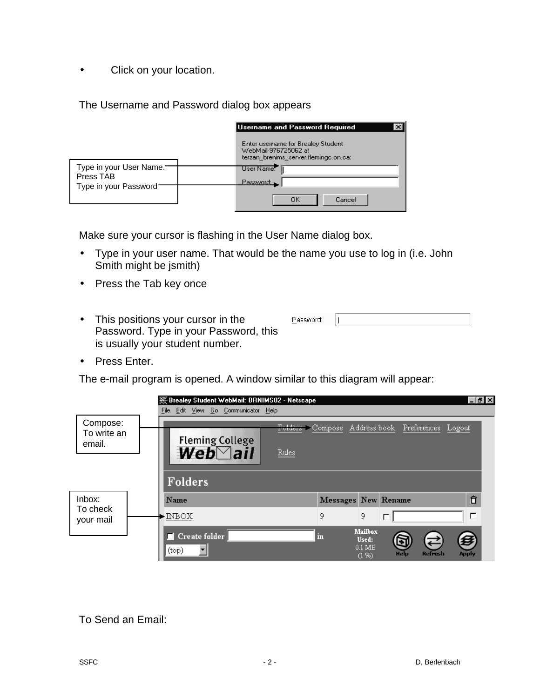• Click on your location.

The Username and Password dialog box appears

|                                      |  | Username and Password Required                                                                      |
|--------------------------------------|--|-----------------------------------------------------------------------------------------------------|
|                                      |  | Enter username for Brealey Student<br>WebMail-976725062 at<br>terzan_brenims_server.flemingc.on.ca: |
| Type in your User Name.<br>Press TAB |  | User Name:<br>Password:                                                                             |
| Type in your Password-               |  | ΟK<br>Cancel                                                                                        |

Make sure your cursor is flashing in the User Name dialog box.

- Type in your user name. That would be the name you use to log in (i.e. John Smith might be jsmith)
- Press the Tab key once
- This positions your cursor in the Password. Type in your Password, this is usually your student number.

|--|--|

• Press Enter.

The e-mail program is opened. A window similar to this diagram will appear:

|                                   | W Brealey Student WebMail: BRNIMS02 - Netscape<br>File Edit View Go Communicator Help |       |                                             |                     |                                                | $  -  $ $\theta$ $  \times$ |
|-----------------------------------|---------------------------------------------------------------------------------------|-------|---------------------------------------------|---------------------|------------------------------------------------|-----------------------------|
| Compose:<br>To write an<br>email. | <b>Fleming College</b><br>$Web$ ail                                                   | Rules |                                             |                     | Folders Compose Addressbook Preferences Logout |                             |
|                                   | Folders                                                                               |       |                                             |                     |                                                |                             |
| Inbox:<br>To check<br>your mail   | Name                                                                                  |       |                                             | Messages New Rename | Ô                                              |                             |
|                                   | <b>INBOX</b>                                                                          | 9     | 9                                           |                     | П                                              |                             |
|                                   | Create folder<br>a ka<br>(top)                                                        | m     | <b>Mailbox</b><br>Used:<br>$0.1$ MB<br>(1%) | Gĭ<br>Help          | <b>Refresh</b><br>Apply                        |                             |

#### To Send an Email: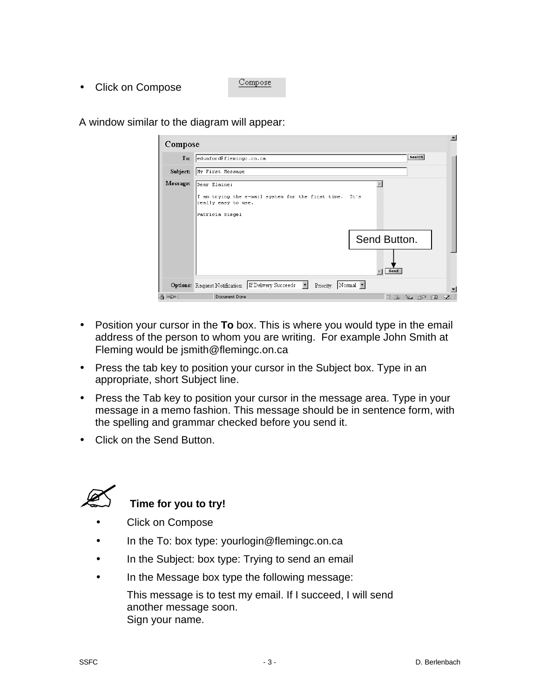- Compose
- Click on Compose

A window similar to the diagram will appear:

| Compose  | $\blacktriangle$                                                                                                 |
|----------|------------------------------------------------------------------------------------------------------------------|
| To:      | Search<br>edunford@flemingc.on.ca                                                                                |
| Subject: | My First Message                                                                                                 |
| Message: | Dear Elaine:<br>I am trying the e-mail system for the first time. It's<br>really easy to use.<br>Patricia Siegel |
|          | Send Button.<br>Send                                                                                             |
|          | Options: Request Notification: If Delivery Succeeds  <br>Priority: Normal v                                      |
| 4 一      | Document: Done<br>42 OP EA<br>目遜                                                                                 |

- Position your cursor in the **To** box. This is where you would type in the email address of the person to whom you are writing. For example John Smith at Fleming would be jsmith@flemingc.on.ca
- Press the tab key to position your cursor in the Subject box. Type in an appropriate, short Subject line.
- Press the Tab key to position your cursor in the message area. Type in your message in a memo fashion. This message should be in sentence form, with the spelling and grammar checked before you send it.
- Click on the Send Button.



## **Time for you to try!**

- Click on Compose
- In the To: box type: yourlogin@flemingc.on.ca
- In the Subject: box type: Trying to send an email
- In the Message box type the following message:

This message is to test my email. If I succeed, I will send another message soon. Sign your name.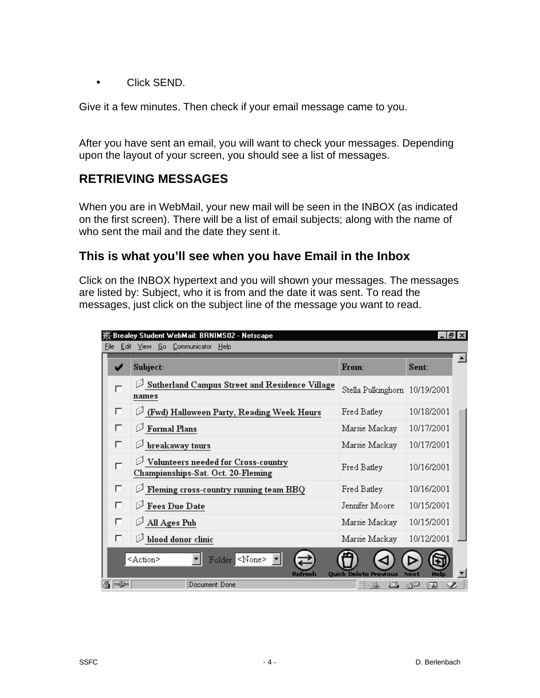• Click SEND.

Give it a few minutes. Then check if your email message came to you.

After you have sent an email, you will want to check your messages. Depending upon the layout of your screen, you should see a list of messages.

#### **RETRIEVING MESSAGES**

When you are in WebMail, your new mail will be seen in the INBOX (as indicated on the first screen). There will be a list of email subjects; along with the name of who sent the mail and the date they sent it.

#### **This is what you'll see when you have Email in the Inbox**

Click on the INBOX hypertext and you will shown your messages. The messages are listed by: Subject, who it is from and the date it was sent. To read the messages, just click on the subject line of the message you want to read.

| 燚 Brealey Student WebMail: BRNIMS02 - Netscape<br>$ F$ $\times$ |                                                                                        |                               |             |  |  |
|-----------------------------------------------------------------|----------------------------------------------------------------------------------------|-------------------------------|-------------|--|--|
| Edit View Go Communicator<br>File<br><b>Help</b>                |                                                                                        |                               |             |  |  |
|                                                                 | Subject:                                                                               | From:                         | Sent:       |  |  |
| г                                                               | Sutherland Campus Street and Residence Village<br>names                                | Stella Pulkinghorn 10/19/2001 |             |  |  |
| П                                                               | $\mathcal{P}$ (Fwd) Halloween Party, Reading Week Hours                                | Fred Batley                   | 10/18/2001  |  |  |
| П                                                               | $\mathscr{D}% _{k}(G)$ Formal Plans                                                    | Marsie Mackay                 | 10/17/2001  |  |  |
| П                                                               | $\mathscr{D}% _{T}=\mathscr{D}_{T}\!\left( \mathcal{N}_{T}\right)$ breakaway tours     | Marsie Mackay                 | 10/17/2001  |  |  |
| $\Box$                                                          | $\mathcal D$ Volunteers needed for Cross-country<br>Championships-Sat. Oct. 20-Fleming | Fred Batley                   | 10/16/2001  |  |  |
| П                                                               | $\mathcal{D}% _{k}(G)$ Fleming cross-country running team BBQ                          | Fred Batley                   | 10/16/2001  |  |  |
| П                                                               | Fees Due Date<br>ু                                                                     | Jennifer Moore                | 10/15/2001  |  |  |
| П                                                               | All Ages Pub                                                                           | Marsie Mackay                 | 10/15/2001  |  |  |
| П                                                               | $\mathscr{D}% _{k}(G)$ blood donor clinic                                              | Marsie Mackay                 | 10/12/2001  |  |  |
|                                                                 | Folder <none><br/><action><br/>Refresh</action></none>                                 | <b>Quick Delete Previous</b>  | <b>Next</b> |  |  |
| $\Rightarrow \Rightarrow$<br>凸                                  | Document: Done                                                                         | --第<br>画                      | dp<br>區     |  |  |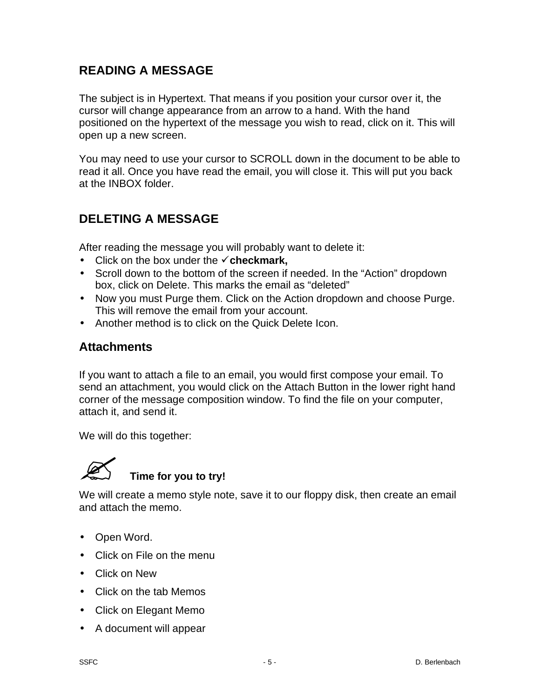#### **READING A MESSAGE**

The subject is in Hypertext. That means if you position your cursor over it, the cursor will change appearance from an arrow to a hand. With the hand positioned on the hypertext of the message you wish to read, click on it. This will open up a new screen.

You may need to use your cursor to SCROLL down in the document to be able to read it all. Once you have read the email, you will close it. This will put you back at the INBOX folder.

### **DELETING A MESSAGE**

After reading the message you will probably want to delete it:

- $\bullet$  Click on the box under the  $\checkmark$  checkmark,
- Scroll down to the bottom of the screen if needed. In the "Action" dropdown box, click on Delete. This marks the email as "deleted"
- Now you must Purge them. Click on the Action dropdown and choose Purge. This will remove the email from your account.
- Another method is to click on the Quick Delete Icon.

#### **Attachments**

If you want to attach a file to an email, you would first compose your email. To send an attachment, you would click on the Attach Button in the lower right hand corner of the message composition window. To find the file on your computer, attach it, and send it.

We will do this together:



# ? **Time for you to try!**

We will create a memo style note, save it to our floppy disk, then create an email and attach the memo.

- Open Word.
- Click on File on the menu
- Click on New
- Click on the tab Memos
- Click on Elegant Memo
- A document will appear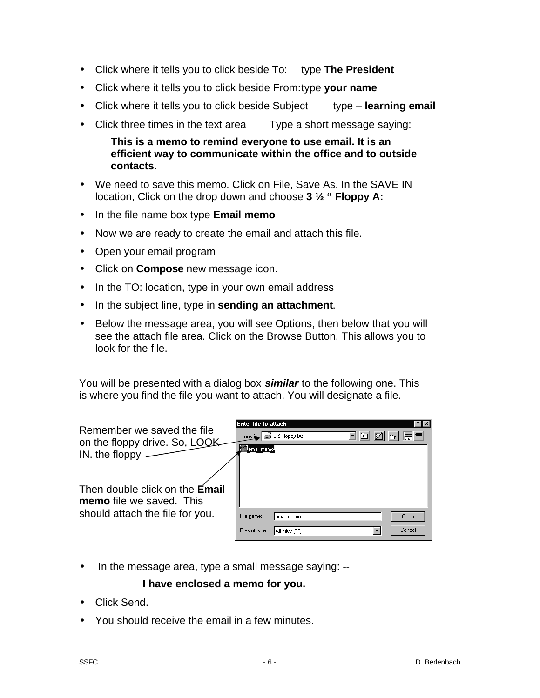- Click where it tells you to click beside To: type **The President**
- Click where it tells you to click beside From:type **your name**
- Click where it tells you to click beside Subject type **learning email**
- Click three times in the text area Type a short message saying:

**This is a memo to remind everyone to use email. It is an efficient way to communicate within the office and to outside contacts**.

- We need to save this memo. Click on File, Save As. In the SAVE IN location, Click on the drop down and choose **3 ½ " Floppy A:**
- In the file name box type **Email memo**
- Now we are ready to create the email and attach this file.
- Open your email program
- Click on **Compose** new message icon.
- In the TO: location, type in your own email address
- In the subject line, type in **sending an attachment**.
- Below the message area, you will see Options, then below that you will see the attach file area. Click on the Browse Button. This allows you to look for the file.

You will be presented with a dialog box *similar* to the following one. This is where you find the file you want to attach. You will designate a file.

| Remember we saved the file<br>on the floppy drive. So, LOOK<br>IN. the floppy | Enter file to attach<br>∬email memo∮ | Look $\leq$ $\leq$ 3½ Floppy (A:) | 面<br>▾⊩ | ? x <br><b>EXECUTE</b> |
|-------------------------------------------------------------------------------|--------------------------------------|-----------------------------------|---------|------------------------|
| Then double click on the <b>Email</b><br>memo file we saved. This             |                                      |                                   |         |                        |
| should attach the file for you.                                               | File name:                           | email memo                        |         | <b>Open</b>            |
|                                                                               | Files of type:                       | All Files (*.*)                   |         | Cancel                 |

• In the message area, type a small message saying: --

#### **I have enclosed a memo for you.**

- Click Send.
- You should receive the email in a few minutes.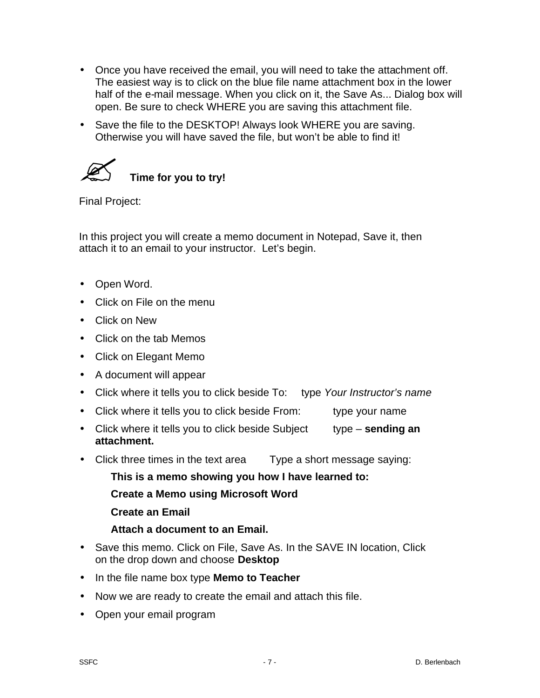- Once you have received the email, you will need to take the attachment off. The easiest way is to click on the blue file name attachment box in the lower half of the e-mail message. When you click on it, the Save As... Dialog box will open. Be sure to check WHERE you are saving this attachment file.
- Save the file to the DESKTOP! Always look WHERE you are saving. Otherwise you will have saved the file, but won't be able to find it!



Final Project:

In this project you will create a memo document in Notepad, Save it, then attach it to an email to your instructor. Let's begin.

- Open Word.
- Click on File on the menu
- Click on New
- Click on the tab Memos
- Click on Elegant Memo
- A document will appear
- Click where it tells you to click beside To: type *Your Instructor's name*
- Click where it tells you to click beside From: type your name
- Click where it tells you to click beside Subject type **sending an attachment.**
- Click three times in the text area Type a short message saying:

**This is a memo showing you how I have learned to:**

- **Create a Memo using Microsoft Word**
- **Create an Email**
- **Attach a document to an Email.**
- Save this memo. Click on File, Save As. In the SAVE IN location, Click on the drop down and choose **Desktop**
- In the file name box type **Memo to Teacher**
- Now we are ready to create the email and attach this file.
- Open your email program